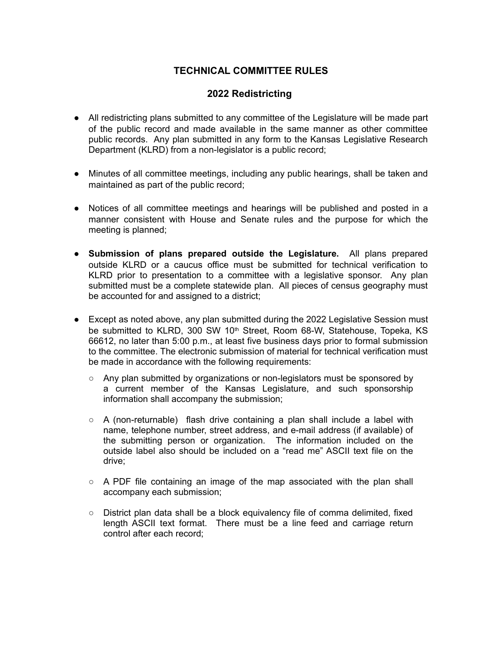## **TECHNICAL COMMITTEE RULES**

## **2022 Redistricting**

- All redistricting plans submitted to any committee of the Legislature will be made part of the public record and made available in the same manner as other committee public records. Any plan submitted in any form to the Kansas Legislative Research Department (KLRD) from a non-legislator is a public record;
- Minutes of all committee meetings, including any public hearings, shall be taken and maintained as part of the public record;
- Notices of all committee meetings and hearings will be published and posted in a manner consistent with House and Senate rules and the purpose for which the meeting is planned;
- **Submission of plans prepared outside the Legislature.** All plans prepared outside KLRD or a caucus office must be submitted for technical verification to KLRD prior to presentation to a committee with a legislative sponsor. Any plan submitted must be a complete statewide plan. All pieces of census geography must be accounted for and assigned to a district;
- Except as noted above, any plan submitted during the 2022 Legislative Session must be submitted to KLRD, 300 SW 10<sup>th</sup> Street, Room 68-W, Statehouse, Topeka, KS 66612, no later than 5:00 p.m., at least five business days prior to formal submission to the committee. The electronic submission of material for technical verification must be made in accordance with the following requirements:
	- Any plan submitted by organizations or non-legislators must be sponsored by a current member of the Kansas Legislature, and such sponsorship information shall accompany the submission;
	- $\circ$  A (non-returnable) flash drive containing a plan shall include a label with name, telephone number, street address, and e-mail address (if available) of the submitting person or organization. The information included on the outside label also should be included on a "read me" ASCII text file on the drive;
	- $\circ$  A PDF file containing an image of the map associated with the plan shall accompany each submission;
	- District plan data shall be a block equivalency file of comma delimited, fixed length ASCII text format. There must be a line feed and carriage return control after each record;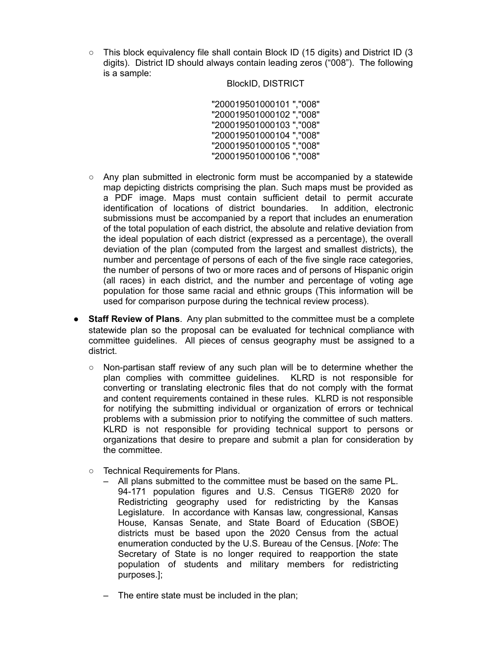$\circ$  This block equivalency file shall contain Block ID (15 digits) and District ID (3) digits). District ID should always contain leading zeros ("008"). The following is a sample:

BlockID, DISTRICT

"200019501000101 ","008" "200019501000102 ","008" "200019501000103 ","008" "200019501000104 ","008" "200019501000105 ","008" "200019501000106 ","008"

- $\circ$  Any plan submitted in electronic form must be accompanied by a statewide map depicting districts comprising the plan. Such maps must be provided as a PDF image. Maps must contain sufficient detail to permit accurate identification of locations of district boundaries. In addition, electronic submissions must be accompanied by a report that includes an enumeration of the total population of each district, the absolute and relative deviation from the ideal population of each district (expressed as a percentage), the overall deviation of the plan (computed from the largest and smallest districts), the number and percentage of persons of each of the five single race categories, the number of persons of two or more races and of persons of Hispanic origin (all races) in each district, and the number and percentage of voting age population for those same racial and ethnic groups (This information will be used for comparison purpose during the technical review process).
- **Staff Review of Plans**. Any plan submitted to the committee must be a complete statewide plan so the proposal can be evaluated for technical compliance with committee guidelines. All pieces of census geography must be assigned to a district.
	- Non-partisan staff review of any such plan will be to determine whether the plan complies with committee guidelines. KLRD is not responsible for converting or translating electronic files that do not comply with the format and content requirements contained in these rules. KLRD is not responsible for notifying the submitting individual or organization of errors or technical problems with a submission prior to notifying the committee of such matters. KLRD is not responsible for providing technical support to persons or organizations that desire to prepare and submit a plan for consideration by the committee.
	- Technical Requirements for Plans.
		- All plans submitted to the committee must be based on the same PL. 94-171 population figures and U.S. Census TIGER® 2020 for Redistricting geography used for redistricting by the Kansas Legislature. In accordance with Kansas law, congressional, Kansas House, Kansas Senate, and State Board of Education (SBOE) districts must be based upon the 2020 Census from the actual enumeration conducted by the U.S. Bureau of the Census. [*Note*: The Secretary of State is no longer required to reapportion the state population of students and military members for redistricting purposes.];
		- The entire state must be included in the plan;